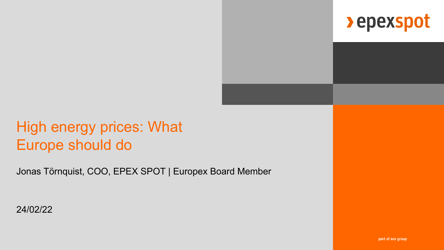

## High energy prices: What Europe should do

Jonas Törnquist, COO, EPEX SPOT | Europex Board Member

24/02/22

part of eex group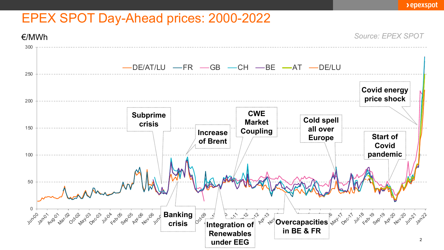## EPEX SPOT Day-Ahead prices: 2000-2022